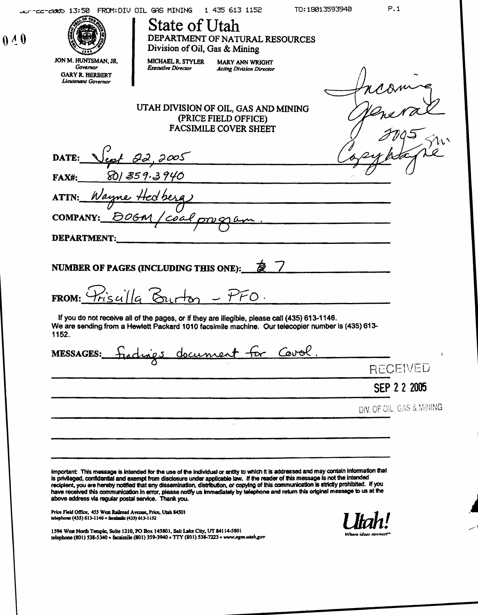| 0.40 | P.1<br>TO: 18013593940<br>JEFTEETERRS 13:50 FROM: DIU OIL GAS MINING 1 435 613 1152<br>O<br>State of Utah<br>DEPARTMENT OF NATURAL RESOURCES<br>Division of Oil, Gas & Mining                                                                                                                                                                                                  |  |  |  |
|------|--------------------------------------------------------------------------------------------------------------------------------------------------------------------------------------------------------------------------------------------------------------------------------------------------------------------------------------------------------------------------------|--|--|--|
|      | JON M. HUNTSMAN, JR.<br>MICHAEL R. STYLER MARY ANN WRIGHT<br>Executive Director Acting Division Director<br>Governor<br>Governor<br>GARY R. HERBERT<br>Licutenant Governor<br>ncoming<br>$\iff$<br>╰┸<br>UTAH DIVISION OF OIL, GAS AND MINING<br>(PRICE FIELD OFFICE)<br>FACSIMILE COVER SHEET<br>yeneral<br>$J\eta\mathfrak{s}$<br>50 <sup>1</sup>                            |  |  |  |
|      | $\overline{O}$<br>Copyblapie<br>DATE: $\sqrt{\varphi t}$ 22, 2005<br>801359.3940<br>$FAX#$ :<br>ATTN: Wayne Hedberg<br>COMPANY: BOGM/coalpregram.<br>DEPARTMENT:                                                                                                                                                                                                               |  |  |  |
|      | FROM: Priscilla Burton - PFO.<br>If you do not receive all of the pages, or if they are illegible, please call (435) 613-1146.<br>We are sending from a Hewlett Packard 1010 facsimile machine.  Our telecopier number is (435) 613-<br>1152.                                                                                                                                  |  |  |  |
|      | MESSAGES: Fradrigs document for Covol.<br>RECEIVED<br>SEP 2 2 2005<br>DIV. OF OIL, GAS & MINING                                                                                                                                                                                                                                                                                |  |  |  |
|      | ______<br>Important: This message is intended for the use of the individual or entity to which it is addressed and may contain information that<br>is privileged, confidential and exempt from disclosure under applicable law. If the read<br>Price Field Office, 455 West Railroad Avenue, Price, Utah 84501<br>telephone (435) 613-1146 • facsimile (435) 613-1152<br>Utah! |  |  |  |
|      | 1594 West North Temple, Suite 1210, PO Box 145801, Salt Lake City, UT 84114-5801<br>telephone (801) 538-5340 • facsimile (801) 359-3940 • TTY (801) 538-7223 • www.ogm.utah.gov<br>Where ideas connect <sup>on</sup>                                                                                                                                                           |  |  |  |
|      |                                                                                                                                                                                                                                                                                                                                                                                |  |  |  |
|      |                                                                                                                                                                                                                                                                                                                                                                                |  |  |  |
|      |                                                                                                                                                                                                                                                                                                                                                                                |  |  |  |
|      |                                                                                                                                                                                                                                                                                                                                                                                |  |  |  |
|      |                                                                                                                                                                                                                                                                                                                                                                                |  |  |  |
|      |                                                                                                                                                                                                                                                                                                                                                                                |  |  |  |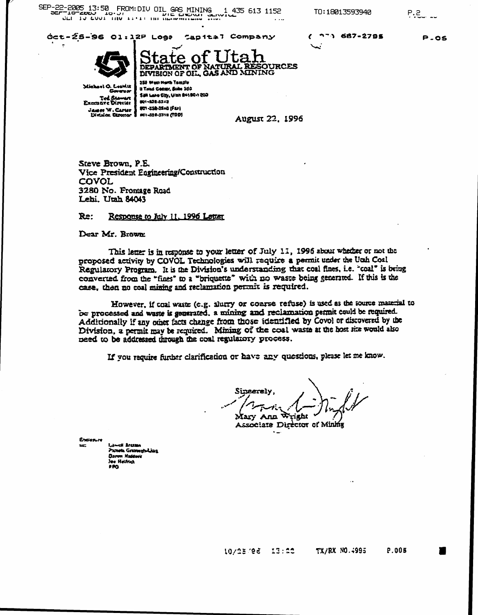SEP-22-2005 13:50 FROM: DIV OIL GAS MINING 1 435 613 1152

Oct-25-96 01:12P Loga Capital Company

TO: 18013593940

 $P.2$ 

**P.05** 

 $(77)687 - 2795$ 



te of OURCES **ETMENT OF DEPARTMENT OF NATURAL RESOUR<br>DIVISION OF OIL, GAS AND MINING** 255 West Next Temple

Michael O. Leawitt Tel Stawart<br>Examine Diretar James W. Carter | 801-338-3140 (FD)<br>| District Chronor | str-328-3318 (TDD)

a Triad Center, Solle 360 San Lake City, Ulah 84180-1203 801-128-5243 101-358-3140 (FU)

August 22, 1996

Steve Brown, P.E. Vice President Engineering/Construction COVOL 3280 No. Frontage Road Lehi. Utah 84043

#### Response to July 11, 1996 Letter Re:

Dear Mr. Brown:

This letter is in response to your letter of July 11, 1996 about whether or not the proposed activity by COVOL Technologies will require a permit under the Utah Coal Regularory Program. It is the Division's understanding that coal fines, i.e. "coal" is being converted from the "fines" to a "briquette" with no waste being generated. If this is the case, then no coal mining and reclamation permit is required.

However, if toal waste (e.g. slutty or coarse refuse) is used as the source material to be processed and waste is generated, a mining and reclamation permit could be required. Additionally if any other facts change from those identified by Covol or discovered by the Division, a permit may be required. Mining of the coal waste at the host site would also need to be addressed mough the coal regulatory process.

If you require further clarification or have any questions, please let me know.

Sineerelv Mary Ann Associate Director of Mining

Exclosure

Santa Grumavhilius n Ka **es Heinci** 480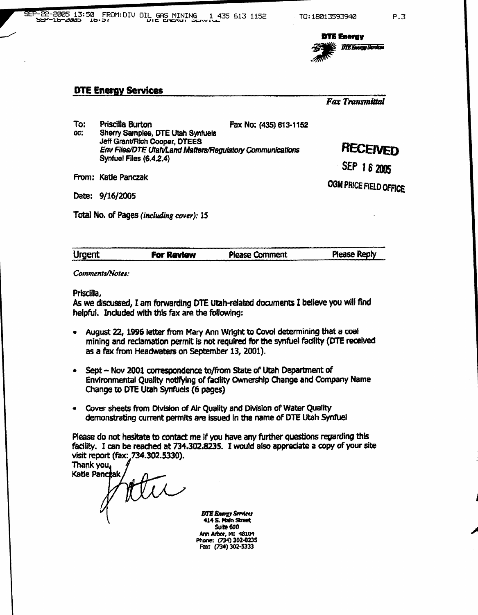

# DTE Energy Services

|            | SEP-22-2005 13:50 FROM: DIV OIL GAS MINING 1<br>1 435 613 1152                                                                                                                                           | TO: 18013593940<br><b>DTE Energy</b><br><b>DTE Energy Services</b> | P.3 |
|------------|----------------------------------------------------------------------------------------------------------------------------------------------------------------------------------------------------------|--------------------------------------------------------------------|-----|
|            | <b>DTE Energy Services</b>                                                                                                                                                                               | <b>Fax Transmittal</b>                                             |     |
| To:<br>CC. | Priscilla Burton<br>Fax No: (435) 613-1152<br>Sherry Samples, DTE Utah Synfuels<br>Jeff Grant/Rich Cooper, DTEES<br>Env Files/DTE Utah/Land Matters/Regulatory Communications<br>Synfuel Files (6.4.2.4) | <b>RECEIVED</b><br>SEP 16 2005                                     |     |
|            | From: Katie Panczak                                                                                                                                                                                      | OGM PRICE FIELD OFFICE                                             |     |

Date: 9/16/2005

Total No. of Pages (including cover): 15

| <b>Urgent</b> | For Review | <b>Please Comment</b> | <b>Please Reply</b> |
|---------------|------------|-----------------------|---------------------|
|               |            |                       |                     |
|               |            |                       |                     |

Comments/Notes :

Priscilla,

As we discussed, I am forwarding DTE Utah-related documents I believe you will find helpful. Included with this fax are the following:

- August 22, 1996 letter from Mary Ann Wright to Covol determining that a coal mining and reclamation permit is not required for the synfuel facility (DTE received as a fax from Headwaters on September 13, 2001) .
- Sept - Nov 2001 correspondence to/from State of Utah Department of Environmental Quality notifying of facility Ownership Change and Company Name Change to DTE Utah Synfuels (6 pages)
- Cover sheets from Division of Air Quality and Division of Water Quality demonstrating current permits are issued in the name of DTE Utah Synfuel

Please do not hesitate to contact me If you have any further questions regarding this facility. I can be reached at 734 .302.8235 . I would also appreciate a copy of your site visit report (fax: 734.302.5330).

Thank you Katie Panczał atu

DTB Energy Services 4145. Main Shred Suite 600 Ann arbor, MI 48104 Phone: (734) 302.8235 Fax: (734) 302.5333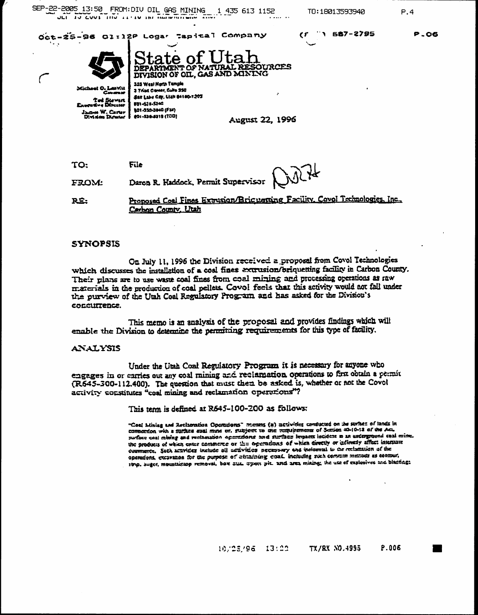SEP-22-2005 13:50 FROM: DIV OIL GAS MINING 1 435 613 1152

TO: 18013593940

1 587-2795

CF

 $P.4$ 

**P.O6** 

Oct-25-96 01:12P Logar Tapital Company



URCES **SAND MINING DIVISION OF OIL, GA** 

lector **JSBAN W. Carter** 

Division Dure

355 West North Tumple 3 Triad Canter, Culto 350 San Lake Cay, Ulah 64160-1203 881-431-5340 **(401-030-0840 (Fax)** (051) 8724-4319

**August 22, 1996** 

File **TO:** Kill+ Daron R. Haddock, Permit Supervisor **FROM:** 

Proposed Coal Fines Extrusion/Bric verting Facility, Covol Technologies, Inc., R£: Carbon County, Utah

### **SYNOPSIS**

On July 11, 1996 the Division received a proposal from Covol Technologies which discusses the installation of a coal fines extrusion/briquetting facility in Carbon County. Their plans are to use waste coal fines from coal mining and processing operations as raw materials in the production of coal pellets. Covol feels that this activity would not fall under the purview of the Utah Coal Regulatory Program and has asked for the Division's concurrence.

This memo is an analysis of the proposal and provides findings which will enable the Division to determine the permitting requirements for this type of facility.

#### **ANALYSIS**

Under the Utah Coal Regulatory Program it is necessary for anyone who engages in or carries out any coal mining and reclamation operations to first obtain a permit (R645-300-112.400). The question that must then be asked is, whether or not the Covol activity constitutes "coal mining and reclamation operations"?

This term is defined at R645-100-200 as follows:

"Goal Miniag and Reclamation Operations" means (a) activities conducted on the strikes of lands in connection with a surface east mine or, subject to the requirements of Serion 40-10-12 of the Act surface coal mining and reclamation operations and surface impacts incident in an underground coal mine. the products of which enter commerce or the operations of which directly or activenty affect interstate comments. Such acavines include all activities necessary and incidental to the reclamation of the operations, excavance for the purpose of electriciting essal, including such comment methods as commut. 1919. Juget, mountaintop removal, box 3121 3yes; pit. and area mising; the use of explosives and blacking;

> TX/RX NO.4995 P.006 10/25/95 13:00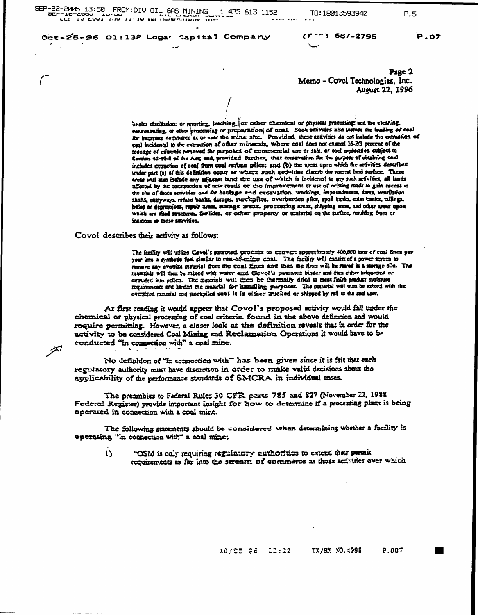SEP-22-2005 13:50 FROM: DIV OIL GAS MINING 1.435 613 1152 ALL IS EART for The HILLING HARD DIRECT AND

TO: 18013593940

P.5

Oct-25-26 01:13P Logar Capital Company

 $(5 - 1687 - 2795$ 

Page 2 Memo - Covol Technologies, Inc. August 22, 1996

in-sim distillation: or reporting, leaching, ex coloer chernical or physical processing; and the electring, consentraing, or sther processing or preparation, of unal. Soch activities also instead the loading of cool for interstate commerce at or near the mine site. Provided, these activities do not lackede the extraction of ceal incidental to the extraction of other minimumls, where coal does not exenct 16-2/3 percent of the tonnage of miserals removed for purposes of commercial use or sale, or end exploraton subject to Section 40-10-2 of the Act; and provided further, that excavation for the purpose of votaining can includes extraction of coal from coal rariuse piles: and (b) the areas upon which the activities described under part (2) of this definition occur or whose much nectwities distute the nummi land surface. These areas will also include any adjacent land the use of which is incidental to any such arivines, all lands affected by the construction of new reads or the improvement or use of existing rade to gain access to the site of those serivines and for haulage and excavation, workings, impoundments, dams, venrilation shafts, estryways, reflue banks, dumps, sterekpiles, overburden piles, spoil tenks, enim tanks, milings, holes or depressions, repair areas, storage invense, procenting areas, shipping areas, and other areas upon which are shed structures, facilides, or other property or meterial on the surface, resulting from or incident to facte servities.

Covol describes their activity as follows:

أتلخته

The facility will utilize Covol's parasted, process to enerver approximately 400,000 mas of coal fines per<br>year into a synthetic fuel similar to rum-ail-critics coal. The facility will cansist of a power screen to<br>remove a materials will then be mixed with water and Covol's patented binder and then either briqueted or extruded mto pellets. The materials will them be thermally dried to meet finish product moisture requirements and harden the musculal for humaling purposes. The material will then be noised with the oversized musical and stockpiled until it is eliker muched or shipped by rad to the and user.

At first reading it would appear that Covol's proposed activity would fall under the chemical or physical processing of coal criteria found in the above definition and would require permitting. However, a closer look at the definition reveals that in order for the activity to be considered Coal Mining and Reclarmation Operations it would have to be conducted "in connection with" a coal mine.

No definition of "in connection with" has been given since it is felt that each regulatory authority must have discretion in order to make valid decisions shout the applicability of the performance standards of SMCRA in individual cases.

The preambles to Federal Rules 30 CFR parts 785 and 827 (November 22, 1988 Federal Register) provide important insight for how to determine if a processing plant is being operated in connection with a coal mine.

The following statements should be considered when determining whether a facility is operating "in connection with" a coal mine:

"OSM is only requiring regulatory authorities to extend their permit  $\mathbf{1}$ requirements as far into the stream of commerce as those activities over which

**P.OZ**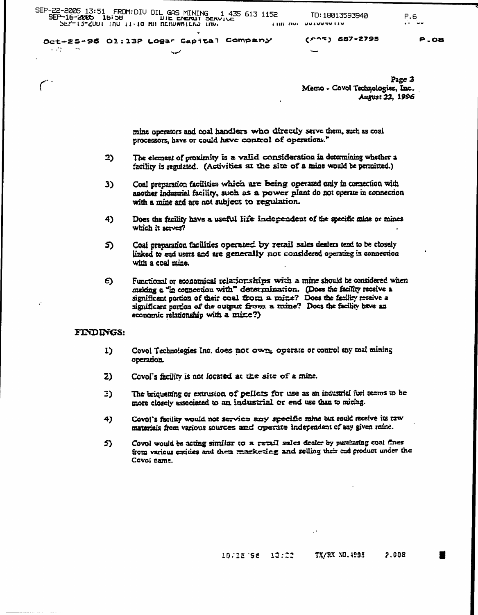Oct-25-96 01:13P Logar Capital Company

 $(5.27)$  687-2795

 $P.08$ 

Page 3 Memo - Covol Technologies, Inc. August 23, 1996

mine operators and coal handlers who directly serve them, such as coal processors, have or could have control of operations."

- $2)$ The element of proximity is a valid consideration in determining whether a facility is regulated. (Activities at the site of a mine would be permitted.)
- Coal preparation facilities which are being operated only in comection with 3) another industrial facility, such as a power plant do not operate in connection with a mine and are not subject to regulation.
- Does the facility have a useful life independent of the specific mine or mines 4) which it serves?
- Coal preparation facilities operated by retail sales dealers tend to be closely 5) linked to end users and are generally not considered operating in connection with a coal mine.
- $\epsilon$ Functional or economical relationships with a mine should be considered when making a "in connection with" determination. (Does the facility receive a significant portion of their coal from a mine? Does the facility receive a significant portion of the output from a mine? Does the facility have an economic relationship with a mixe?)

## FINDINGS:

 $\sim 100$ 

- Covol Technologies Inc. does not own; operate or control any coal mining I) operation
- $z<sub>2</sub>$ Covol's facility is not located at the site of a mine.
- The briqueting or extrusion of pellets for use as an industrial fuel seems to be 3) more closely associated to an industrial or end use than to mining.
- Covol's facility would not service any specific mine but could receive its raw 4) materials from various sources and operate independent of any given mine.
- Covol would be acting similar to a retail sales dealer by putthasing coal fines 5) from various entities and then marketing and selling their end product under the Covol name.